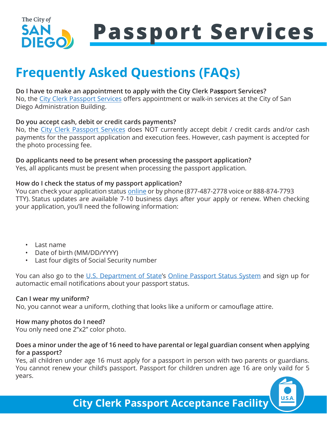

## **Frequently Asked Questions (FAQs)**

#### **Do I have to make an appointment to apply with the City Clerk Passport Services?** No, the [City Clerk Passport Services](https://www.sandiego.gov/passport) offers appointment or walk-in services at the City of San

Diego Administration Building.

#### **Do you accept cash, debit or credit cards payments?**

No, the [City Clerk Passport Services](https://www.sandiego.gov/passport) does NOT currently accept debit / credit cards and/or cash payments for the passport application and execution fees. However, cash payment is accepted for the photo processing fee.

#### **Do applicants need to be present when processing the passport application?**

Yes, all applicants must be present when processing the passport application.

#### **How do I check the status of my passport application?**

You can check your application statu[s online](https://passportstatus.state.gov/)) or by phone (877-487-2778 voice or 888-874-7793 TTY). Status updates are available 7-10 business days after your apply or renew. When checking your application, you'll need the following information:

- Last name
- Date of birth (MM/DD/YYYY)
- Last four digits of Social Security number

You can also go to the [U.S. Department of State](https://travel.state.gov/content/travel/en/passports.html)'s [Online Passport Status System](https://passportstatus.state.gov/) and sign up for automactic email notifications about your passport status.

#### **Can I wear my uniform?**

No, you cannot wear a uniform, clothing that looks like a uniform or camouflage attire.

### **How many photos do I need?**

You only need one 2"x2" color photo.

### **Does a minor under the age of 16 need to have parental or legal guardian consent when applying for a passport?**

Yes, all children under age 16 must apply for a passport in person with two parents or guardians. You cannot renew your child's passport. Passport for children undren age 16 are only vaild for 5 years.



**City Clerk Passport Acceptance Facility**